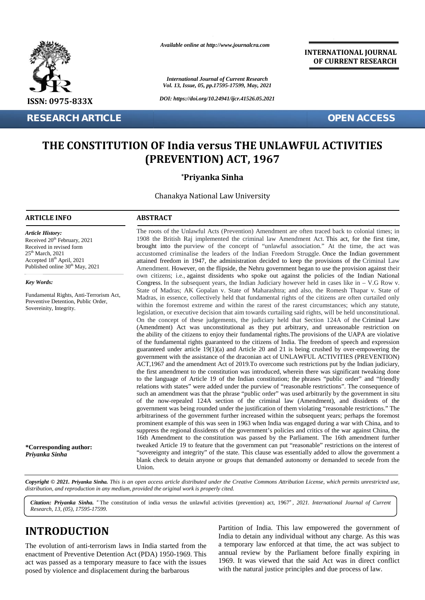

**RESEARCH ARTICLE OPEN ACCESS**

*Available online at http://www.journalcra.com*

*International Journal of Current Research Vol. 13, Issue, 05, pp.17595-17599, May, 2021*

*DOI: https://doi.org/10.24941/ijcr.41526.05.2021*

**INTERNATIONAL JOURNAL OF CURRENT RESEARCH**

# **THE CONSTITUTION OF India versus THE UNLAWFUL ACTIVITIES THE (PREVENTION) ACT, 1967**

## **\*Priyanka Sinha**

Chanakya National Law University

#### **ARTICLE INFO ABSTRACT ARTICLE ABSTRACT**

Received 20<sup>th</sup> February, 2021 Received in revised form 25 th March, 2021 Accepted 18th April, 2021 Published online 30<sup>th</sup> May, 2021

Fundamental Rights, Anti-Terrorism Act, Preventive Detention, Public Order,

*Article History:*

*Key Words:*

Sovereinity, Integrity.

The roots of the Unlawful Acts (Prevention) Amendment are often traced back to colonial times; in 1908 the British Raj implemented the criminal law Amendment Act. This act, for the first time, brought into the purview of the concept of "unlawful association." At the time, the act was accustomed criminalise the leaders of the Indian Freedom Struggle. Once the Indian government The roots of the Unlawful Acts (Prevention) Amendment are often traced back to colonial times; in 1908 the British Raj implemented the criminal law Amendment Act. This act, for the first time, brought into the purview of t Amendment. However, on the flipside, the Nehru government began to use the provision against their own citizens; i.e., against dissidents who spoke out against the policies of the Indian National Congress. In the subsequent years, the Indian Judiciary however held in cases like in  $-$  V.G Row v. State of Madras; AK Gopalan v. State of Maharashtra; and also, the Romesh Thapar v. State of Madras, in essence, collectively held that fundamental rights of the citizens are often curtailed only within the foremost extreme and within the rarest of the rarest circumstances; which any statute, legislation, or executive decision that aim towards curtailing said rights, will be held unconstitutional. On the concept of these judgements, the judiciary held that Section 124A of the Criminal Law (Amendment) Act was unconstitutional as they put arbitrary, and unreasonable restriction on the ability of the citizens to enjoy their fundamental rights.The provisions of the UAPA are violative of the fundamental rights guaranteed to the citizens of India. The freedom of speech and expression guaranteed under article  $19(1)(a)$  and Article 20 and 21 is being crushed by over-empowering the government with the assistance of the draconian act of UNLAWFUL ACTIVITIES (PREVENTION) ACT,1967 and the amendment Act of 2019.To overcome such restrictions put by the Indian judiciary, the first amendment to the constitution was introduced, wherein there was significant tweaking done to the language of Article 19 of the Indian constitution; the phrases "public order" and "friendly relations with states" were added under the purview of "reasonable restrictions". The consequence of relations with states" were added under the purview of "reasonable restrictions". The consequence of such an amendment was that the phrase "public order" was used arbitrarily by the government in situ such an amendment was that the phrase "public order" was used arbitrarily by the government in situ<br>of the now-repealed 124A section of the criminal law (Amendment), and dissidents of the government was being rounded under the justification of them violating "reasonable restrictions." The arbitrariness of the government further increased within the subsequent years; perhaps the foremost prominent example of this was seen in 1963 when India was engaged during a war with China, and to arbitrariness of the government further increased within the subsequent years; perhaps the foremost<br>prominent example of this was seen in 1963 when India was engaged during a war with China, and to<br>suppress the regional di 16th Amendment to the constitution was passed by the Parliament. The 16th amendment further tweaked Article 19 to feature that the government can put "reasonable" restrictions on the interest of tweaked Article 19 to feature that the government can put "reasonable" restrictions on the interest of "sovereignty and integrity" of the state. This clause was essentially added to allow the government a blank check to detain anyone or groups that demanded autonomy or demanded to secede from the Union. Union. Amendment. However, on the flipside, the Nehru government began to use the provision against their<br>own citizens; i.e., against dissidents who spoke out against the policies of the Indian National<br>Congress. In the subsequen guaranteed under article 19(1)(a) and Article 20 and 21 is being crushed by over-empowering the government with the assistance of the draconian act of UNLAWFUL ACTIVITIES (PREVENTION) ACT,1967 and the amendment Act of 2019 **THE CONSTITUTION OF India version for the international AT ACTIVITIE SERVING TO THE SERVING OF THE CONSTITUTION OF IDEA version in the INTERNATION ACTIVITIES (PREVENTION) ACT, 1967<br>
The international Shink at the interna RESEARCH ARTICLE**<br> **THE CONSTITUTION OF India versus THE UNLAWFUL ACTIVITIES**<br> **(PREVENTION) ACT, 1967**<br> **Priyanka Sinha**<br>
Chanakya National Law University<br> **ARTICLE INFO**<br> **ARTICLE INFO**<br> **ARTICLE INFO**<br> **ARTICLE INFO**<br> The minimatenal Higheraton Activity and The Minima, in essence, collectively belief that finduceneal rights, of the eitizons are observed in the stress construction, the minimates of the construction, the eitizons are the **EXECUTE:**<br> **DETERMITEREMONT OF India versus THE UNLAWFUL ACTIVITIES**<br> **EXECUTED ON STITUTION OF India versus THE UNLAWFUL ACTIVITIES**<br> **PREVENTION) ACT, 1967**<br> **Priyanka Sinha**<br>
Chanakya National Law University<br> **EINFO**<br>

**Copyright © 2021. Priyanka Sinha.** This is an open access article distributed under the Creative Commons Attribution License, which permits unrestricted use,<br>distribution, and reproduction in any medium, provided the orig *distribution, and reproduction in any medium, provided the original work is properly cited.*

*Citation: Priyanka Sinha. "*The constitution of india versus the unlawful activities (prevention) act, 1967*", 2021. International Journal of Current Research, 13, (05), 17595-17599.*

## **INTRODUCTION INTRODUCTION**

**\*Corresponding author:**

*Priyanka Sinha*

The evolution of anti-terrorism laws in India started from the enactment of Preventive Detention Act (PDA) 1950-1969. This act was passed as a temporary measure to face with the issues posed by violence and displacement during the barbarous

Partition of India. This law empowered the government of India to detain any individual without any charge. As this was a temporary law enforced at that time, the act was subject to annual review by the Parliament before finally expiring in 1969. It was viewed that the said Act was in direct conflict with the natural justice principles and due process of law.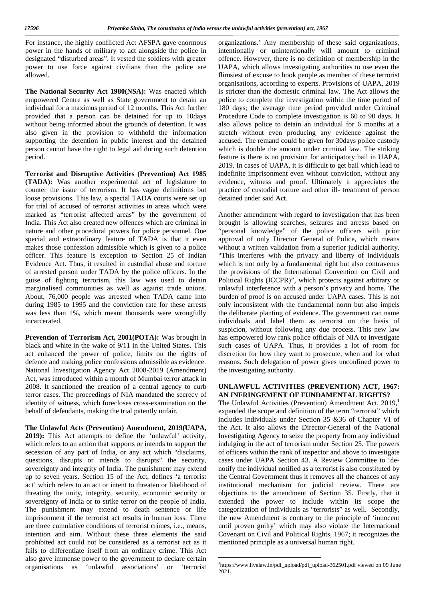For instance, the highly conflicted Act AFSPA gave enormous power in the hands of military to act alongside the police in designated "disturbed areas". It vested the soldiers with greater power to use force against civilians than the police are allowed.

**The National Security Act 1980(NSA):** Was enacted which empowered Centre as well as State government to detain an individual for a maximus period of 12 months. This Act further provided that a person can be detained for up to 10days without being informed about the grounds of detention. It was also given in the provision to withhold the information supporting the detention in public interest and the detained person cannot have the right to legal aid during such detention period.

**Terrorist and Disruptive Activities (Prevention) Act 1985 (TADA):** Was another experimental act of legislature to counter the issue of terrorism. It has vague definitions but loose provisions. This law, a special TADA courts were set up for trial of accused of terrorist activities in areas which were marked as "terrorist affected areas" by the government of India. This Act also created new offences which are criminal in nature and other procedural powers for police personnel. One special and extraordinary feature of TADA is that it even makes those confession admissible which is given to a police officer. This feature is exception to Section 25 of Indian Evidence Act. Thus, it resulted in custodial abuse and torture of arrested person under TADA by the police officers. In the guise of fighting terrorism, this law was used to detain marginalised communities as well as against trade unions. About, 76,000 people was arrested when TADA came into during 1985 to 1995 and the conviction rate for these arrests was less than 1%, which meant thousands were wrongfully incarcerated.

**Prevention of Terrorism Act, 2001(POTA):** Was brought in black and white in the wake of 9/11 in the United States. This act enhanced the power of police, limits on the rights of defence and making police confessions admissible as evidence. National Investigation Agency Act 2008-2019 (Amendment) Act, was introduced within a month of Mumbai terror attack in 2008. It sanctioned the creation of a central agency to curb terror cases. The proceedings of NIA mandated the secrecy of identity of witness, which forecloses cross-examination on the behalf of defendants, making the trial patently unfair.

**The Unlawful Acts (Prevention) Amendment, 2019(UAPA, 2019):** This Act attempts to define the 'unlawful' activity, which refers to an action that supports or intends to support the secession of any part of India, or any act which "disclaims, questions, disrupts or intends to disrupts" the security, sovereignty and integrity of India. The punishment may extend up to seven years. Section 15 of the Act, defines 'a terrorist act' which refers to an act or intent to threaten or likelihood of threating the unity, integrity, security, economic security or sovereignty of India or to strike terror on the people of India. The punishment may extend to death sentence or life imprisonment if the terrorist act results in human loss. There are three cumulative conditions of terrorist crimes, i.e., means, intention and aim. Without these three elements the said prohibited act could not be considered as a terrorist act as it fails to differentiate itself from an ordinary crime. This Act also gave immense power to the government to declare certain organisations as 'unlawful associations' or 'terrorist

organizations.' Any membership of these said organizations, intentionally or unintentionally will amount to criminal offence. However, there is no definition of membership in the UAPA, which allows investigating authorities to use even the flimsiest of excuse to book people as member of these terrorist organisations, according to experts. Provisions of UAPA, 2019 is stricter than the domestic criminal law. The Act allows the police to complete the investigation within the time period of 180 days; the average time period provided under Criminal Procedure Code to complete investigation is 60 to 90 days. It also allows police to detain an individual for 6 months at a stretch without even producing any evidence against the accused. The remand could be given for 30days police custody which is double the amount under criminal law. The striking feature is there is no provision for anticipatory bail in UAPA, 2019. In cases of UAPA, it is difficult to get bail which lead to indefinite imprisonment even without conviction, without any evidence, witness and proof. Ultimately it appreciates the practice of custodial torture and other ill- treatment of person detained under said Act.

Another amendment with regard to investigation that has been brought is allowing searches, seizures and arrests based on "personal knowledge" of the police officers with prior approval of only Director General of Police, which means without a written validation from a superior judicial authority. "This interferes with the privacy and liberty of individuals which is not only by a fundamental right but also contravenes the provisions of the International Convention on Civil and Political Rights (ICCPR)", which protects against arbitrary or unlawful interference with a person's privacy and home. The burden of proof is on accused under UAPA cases. This is not only inconsistent with the fundamental norm but also impels the deliberate planting of evidence. The government can name individuals and label them as terrorist on the basis of suspicion, without following any due process. This new law has empowered low rank police officials of NIA to investigate such cases of UAPA. Thus, it provides a lot of room for discretion for how they want to prosecute, when and for what reasons. Such delegation of power gives unconfined power to the investigating authority.

#### **UNLAWFUL ACTIVITIES (PREVENTION) ACT, 1967: AN INFRINGEMENT OF FUNDAMENTAL RIGHTS?**

The Unlawful Activities (Prevention) Amendment Act, 2019,<sup>1</sup> expanded the scope and definition of the term "terrorist" which includes individuals under Section 35 &36 of Chapter VI of the Act. It also allows the Director-General of the National Investigating Agency to seize the property from any individual indulging in the act of terrorism under Section 25. The powers of officers within the rank of inspector and above to investigate cases under UAPA Section 43. A Review Committee to 'de notify the individual notified as a terrorist is also constituted by the Central Government thus it removes all the chances of any institutional mechanism for judicial review. There are objections to the amendment of Section 35. Firstly, that it extended the power to include within its scope the categorization of individuals as "terrorists" as well. Secondly, the new Amendment is contrary to the principle of 'innocent until proven guilty' which may also violate the International Covenant on Civil and Political Rights, 1967; it recognizes the mentioned principle as a universal human right.

<sup>1</sup>https://www.livelaw.in/pdf\_upload/pdf\_upload-362501.pdf viewed on 09 June  $2021$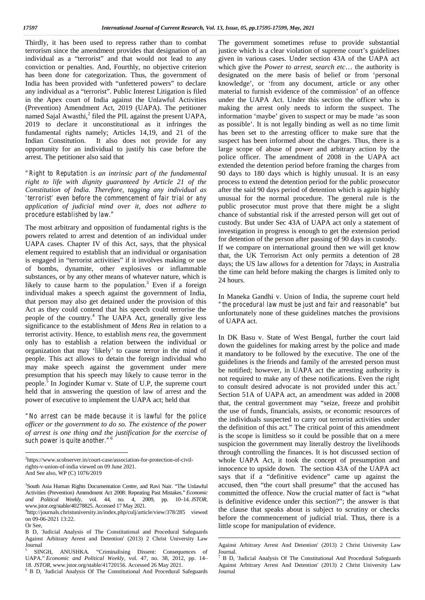Thirdly, it has been used to repress rather than to combat terrorism since the amendment provides that designation of an individual as a "terrorist" and that would not lead to any conviction or penalties. And, Fourthly, no objective criterion has been done for categorization. Thus, the government of India has been provided with "unfettered powers" to declare any individual as a "terrorist". Public Interest Litigation is filed in the Apex court of India against the Unlawful Activities (Prevention) Amendment Act, 2019 (UAPA). The petitioner named Sajal Awasthi,<sup>2</sup> filed the PIL against the present UAPA, 2019 to declare it unconstitutional as it infringes the fundamental rights namely; Articles 14,19, and 21 of the Indian Constitution. It also does not provide for any opportunity for an individual to justify his case before the arrest. The petitioner also said that

*"Right to Reputation is an intrinsic part of the fundamental right to life with dignity guaranteed by Article 21 of the Constitution of India. Therefore, tagging any individual as 'terrorist' even before the commencement of fair trial or any application of judicial mind over it, does not adhere to procedure established by law."*

The most arbitrary and opposition of fundamental rights is the powers related to arrest and detention of an individual under UAPA cases. Chapter IV of this Act, says, that the physical element required to establish that an individual or organisation is engaged in "terrorist activities" if it involves making or use of bombs, dynamite, other explosives or inflammable substances, or by any other means of whatever nature, which is likely to cause harm to the population.<sup>3</sup> Even if a foreign individual makes a speech against the government of India, that person may also get detained under the provision of this Act as they could contend that his speech could terrorise the people of the country.<sup>4</sup> The UAPA Act, generally give less significance to the establishment of *Mens Rea* in relation to a terrorist activity. Hence, to establish *mens rea*, the government only has to establish a relation between the individual or organization that may 'likely' to cause terror in the mind of people. This act allows to detain the foreign individual who may make speech against the government under mere presumption that his speech may likely to cause terror in the people.<sup>5</sup> In Joginder Kumar v. State of U.P, the supreme court held that in answering the question of law of arrest and the power of executive to implement the UAPA act; held that

*"No arrest can be made because it is lawful for the police officer or the government to do so. The existence of the power of arrest is one thing and the justification for the exercise of such power is quite another."<sup>6</sup>*

Or See,

The government sometimes refuse to provide substantial justice which is a clear violation of supreme court's guidelines given in various cases. Under section 43A of the UAPA act which give the *Power to arrest, search etc*… the authority is designated on the mere basis of belief or from 'personal knowledge', or 'from any document, article or any other material to furnish evidence of the commission' of an offence under the UAPA Act. Under this section the officer who is making the arrest only needs to inform the suspect. The information 'maybe' given to suspect or may be made 'as soon as possible'. It is not legally binding as well as no time limit has been set to the arresting officer to make sure that the suspect has been informed about the charges. Thus, there is a large scope of abuse of power and arbitrary action by the police officer. The amendment of 2008 in the UAPA act extended the detention period before framing the charges from 90 days to 180 days which is highly unusual. It is an easy process to extend the detention period for the public prosecutor after the said 90 days period of detention which is again highly unusual for the normal procedure. The general rule is the public prosecutor must prove that there might be a slight chance of substantial risk if the arrested person will get out of custody. But under Sec 43A of UAPA act only a statement of investigation in progress is enough to get the extension period for detention of the person after passing of 90 days in custody. If we compare on international ground then we will get know that, the UK Terrorism Act only permits a detention of 28 days; the US law allows for a detention for 7days; in Australia the time can held before making the charges is limited only to 24 hours.

In Maneka Gandhi v. Union of India, the supreme court held *"the procedural law must be just and fair and reasonable"* but unfortunately none of these guidelines matches the provisions of UAPA act.

In DK Basu v. State of West Bengal, further the court laid down the guidelines for making arrest by the police and made it mandatory to be followed by the executive. The one of the guidelines is the friends and family of the arrested person must be notified; however, in UAPA act the arresting authority is not required to make any of these notifications. Even the right to consult desired advocate is not provided under this act.<sup>7</sup> Section 51A of UAPA act, an amendment was added in 2008 that, the central government may "seize, freeze and prohibit the use of funds, financials, assists, or economic resources of the individuals suspected to carry out terrorist activities under the definition of this act." The critical point of this amendment is the scope is limitless so it could be possible that on a mere suspicion the government may literally destroy the livelihoods through controlling the finances. It is hot discussed section of whole UAPA Act, it took the concept of presumption and innocence to upside down. The section 43A of the UAPA act says that if a "definitive evidence" came up against the accused, then "the court shall presume" that the accused has committed the offence. Now the crucial matter of fact is "what is definitive evidence under this section?"; the answer is that the clause that speaks about is subject to scrutiny or checks before the commencement of judicial trial. Thus, there is a little scope for manipulation of evidence.

<sup>2</sup>https://www.scobserver.in/court-case/association-for-protection-of-civilrights-v-union-of-india viewed on 09 June 2021. And See also, WP (C) 1076/2019

<sup>3</sup>South Asia Human Rights Documentation Centre, and Ravi Nair. "The Unlawful Activities (Prevention) Amendment Act 2008: Repeating Past Mistakes." *Economic and Political Weekly*, vol. 44, no. 4, 2009, pp. 10–14. *JSTOR*,

<sup>&</sup>lt;sup>4</sup>http://journals.christuniversity.in/index.php/culj/article/view/378/285 viewed on 09-06-2021 13:22.

B D, 'Judicial Analysis of The Constitutional and Procedural Safeguards Against Arbitrary Arrest and Detention' (2013) 2 Christ University Law Journal<br><sup>5</sup> SINGH, ANUSHKA. "Criminalising Dissent: Consequences of

UAPA." *Economic and Political Weekly*, vol. 47, no. 38, 2012, pp. 14–

<sup>&</sup>lt;sup>6</sup> B D, 'Judicial Analysis Of The Constitutional And Procedural Safeguards

Against Arbitrary Arrest And Detention' (2013) 2 Christ University Law Journal.

<sup>7</sup> B D, 'Judicial Analysis Of The Constitutional And Procedural Safeguards Against Arbitrary Arrest And Detention' (2013) 2 Christ University Law Journal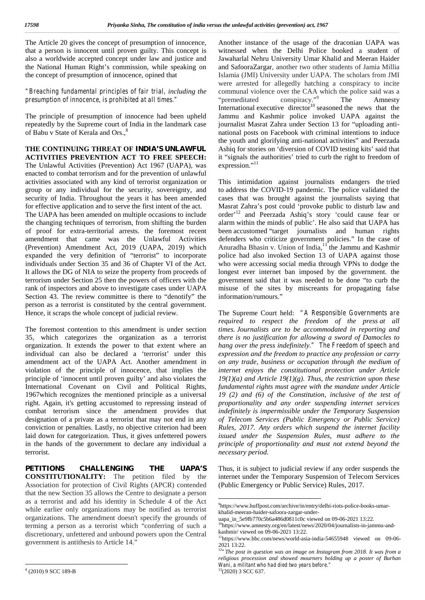The Article 20 gives the concept of presumption of innocence, that a person is innocent until proven guilty. This concept is also a worldwide accepted concept under law and justice and the National Human Right's commission, while speaking on the concept of presumption of innocence, opined that

#### *"Breaching fundamental principles of fair trial, including the presumption of innocence, is prohibited at all times."*

The principle of presumption of innocence had been upheld repeatedly by the Supreme court of India in the landmark case of Babu v State of Kerala and Ors.,

#### **THE CONTINUING THREAT OF INDIA'S UNLAWFUL ACTIVITIES PREVENTION ACT TO FREE SPEECH:**

The Unlawful Activities (Prevention) Act 1967 (UAPA), was enacted to combat terrorism and for the prevention of unlawful activities associated with any kind of terrorist organization or group or any individual for the security, sovereignty, and security of India. Throughout the years it has been amended for effective application and to serve the first intent of the act. The UAPA has been amended on multiple occasions to include the changing techniques of terrorism, from shifting the burden of proof for extra-territorial arrests. the foremost recent amendment that came was the Unlawful Activities (Prevention) Amendment Act, 2019 (UAPA, 2019) which expanded the very definition of "terrorist" to incorporate individuals under Section 35 and 36 of Chapter VI of the Act. It allows the DG of NIA to seize the property from proceeds of terrorism under Section 25 then the powers of officers with the rank of inspectors and above to investigate cases under UAPA Section 43. The review committee is there to "denotify" the person as a terrorist is constituted by the central government. Hence, it scraps the whole concept of judicial review.

The foremost contention to this amendment is under section 35, which categorizes the organization as a terrorist organization. It extends the power to that extent where an individual can also be declared a 'terrorist' under this amendment act of the UAPA Act. Another amendment in violation of the principle of innocence, that implies the principle of 'innocent until proven guilty' and also violates the International Covenant on Civil and Political Rights, 1967which recognizes the mentioned principle as a universal right. Again, it's getting accustomed to repressing instead of combat terrorism since the amendment provides that designation of a private as a terrorist that may not end in any conviction or penalties. Lastly, no objective criterion had been laid down for categorization. Thus, it gives unfettered powers in the hands of the government to declare any individual a terrorist.

**PETITIONS CHALLENGING THE UAPA'S CONSTITUTIONALITY:** The petition filed by the Association for protection of Civil Rights (APCR) contended that the new Section 35 allows the Centre to designate a person as a terrorist and add his identity in Schedule 4 of the Act while earlier only organizations may be notified as terrorist organizations. The amendment doesn't specify the grounds of terming a person as a terrorist which "conferring of such a discretionary, unfettered and unbound powers upon the Central government is antithesis to Article 14."

Another instance of the usage of the draconian UAPA was witnessed when the Delhi Police booked a student of Jawaharlal Nehru University Umar Khalid and Meeran Haider and SafooraZargar, another two other students of Jamia Millia Islamia (JMI) University under UAPA. The scholars from JMI were arrested for allegedly hatching a conspiracy to incite communal violence over the CAA which the police said was a "premeditated conspiracy." The Amnesty International executive director<sup>10</sup> seasoned the news that the Jammu and Kashmir police invoked UAPA against the journalist Masrat Zahra under Section 13 for "uploading anti national posts on Facebook with criminal intentions to induce the youth and glorifying anti-national activities" and Peerzada Ashiq for stories on 'diversion of COVID testing kits' said that it "signals the authorities' tried to curb the right to freedom of expression."<sup>11</sup>

This intimidation against journalists endangers the tried to address the COVID-19 pandemic. The police validated the cases that was brought against the journalists saying that Masrat Zahra's post could 'provoke public to disturb law and order'<sup>12</sup> and Peerzada Ashiq's story 'could cause fear or alarm within the minds of public'. He also said that UAPA has been accustomed "target journalists and human rights defenders who criticize government policies." In the case of Anuradha Bhasin v. Union of India,<sup>13</sup> the Jammu and Kashmir police had also invoked Section 13 of UAPA against those who were accessing social media through VPNs to dodge the longest ever internet ban imposed by the government. the government said that it was needed to be done "to curb the misuse of the sites by miscreants for propagating false information/rumours."

The Supreme Court held: *"A Responsible Governments are required to respect the freedom of the press at all times. Journalists are to be accommodated in reporting and there is no justification for allowing a sword of Damocles to hang over the press indefinitely." The Freedom of speech and expression and the freedom to practice any profession or carry on any trade, business or occupation through the medium of internet enjoys the constitutional protection under Article 19(1)(a) and Article 19(1)(g). Thus, the restriction upon these fundamental rights must agree with the mandate under Article 19 (2) and (6) of the Constitution, inclusive of the test of proportionality and any order suspending internet services indefinitely is impermissible under the Temporary Suspension of Telecom Services (Public Emergency or Public Service) Rules, 2017. Any orders which suspend the internet facility issued under the Suspension Rules, must adhere to the principle of proportionality and must not extend beyond the necessary period.*

Thus, it is subject to judicial review if any order suspends the internet under the Temporary Suspension of Telecom Services (Public Emergency or Public Service) Rules, 2017.

<sup>9</sup>https://www.huffpost.com/archive/in/entry/delhi-riots-police-books-umar khalid-meeran-haider-safoora-zargar-under-

uapa\_in\_5e9fb770c5b6a486d0811c0c viewed on 09-06-2021 13:22.

<sup>&</sup>lt;sup>10</sup>https://www.amnesty.org/en/latest/news/2020/04/journalists-in-jammu-andkashmir/ viewed on 09-06-2021 13:22.

<sup>11</sup>https://www.bbc.com/news/world-asia-india-54655948 viewed on 09-06-

<sup>2021 13:22.</sup> <sup>12</sup>*"The post in question was an image on Instagram from 2018. It was from a religious procession and showed mourners holding up a poster of Burhan Wani, a militant who had died two years before."* <sup>13</sup>(2020) 3 SCC 637.

<sup>8</sup> (2010) 9 SCC 189-B